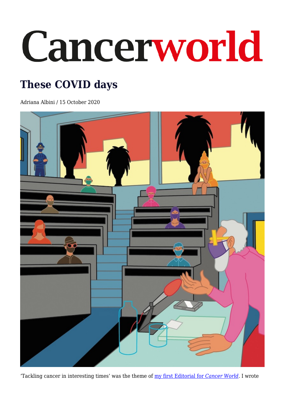## Cancerworld

## **These COVID days**

Adriana Albini / 15 October 2020



'Tackling cancer in interesting times' was the theme of [my first Editorial for](https://cancerworld.net/editorial/tackling-cancer-in-interesting-times/) *[Cancer World](https://cancerworld.net/editorial/tackling-cancer-in-interesting-times/)*. I wrote